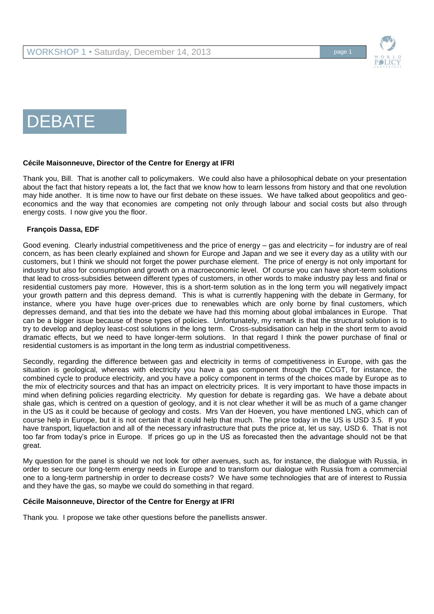

# DEBATE

## **Cécile Maisonneuve, Director of the Centre for Energy at IFRI**

Thank you, Bill. That is another call to policymakers. We could also have a philosophical debate on your presentation about the fact that history repeats a lot, the fact that we know how to learn lessons from history and that one revolution may hide another. It is time now to have our first debate on these issues. We have talked about geopolitics and geoeconomics and the way that economies are competing not only through labour and social costs but also through energy costs. I now give you the floor.

## **François Dassa, EDF**

Good evening. Clearly industrial competitiveness and the price of energy – gas and electricity – for industry are of real concern, as has been clearly explained and shown for Europe and Japan and we see it every day as a utility with our customers, but I think we should not forget the power purchase element. The price of energy is not only important for industry but also for consumption and growth on a macroeconomic level. Of course you can have short-term solutions that lead to cross-subsidies between different types of customers, in other words to make industry pay less and final or residential customers pay more. However, this is a short-term solution as in the long term you will negatively impact your growth pattern and this depress demand. This is what is currently happening with the debate in Germany, for instance, where you have huge over-prices due to renewables which are only borne by final customers, which depresses demand, and that ties into the debate we have had this morning about global imbalances in Europe. That can be a bigger issue because of those types of policies. Unfortunately, my remark is that the structural solution is to try to develop and deploy least-cost solutions in the long term. Cross-subsidisation can help in the short term to avoid dramatic effects, but we need to have longer-term solutions. In that regard I think the power purchase of final or residential customers is as important in the long term as industrial competitiveness.

Secondly, regarding the difference between gas and electricity in terms of competitiveness in Europe, with gas the situation is geological, whereas with electricity you have a gas component through the CCGT, for instance, the combined cycle to produce electricity, and you have a policy component in terms of the choices made by Europe as to the mix of electricity sources and that has an impact on electricity prices. It is very important to have those impacts in mind when defining policies regarding electricity. My question for debate is regarding gas. We have a debate about shale gas, which is centred on a question of geology, and it is not clear whether it will be as much of a game changer in the US as it could be because of geology and costs. Mrs Van der Hoeven, you have mentioned LNG, which can of course help in Europe, but it is not certain that it could help that much. The price today in the US is USD 3.5. If you have transport, liquefaction and all of the necessary infrastructure that puts the price at, let us say, USD 6. That is not too far from today's price in Europe. If prices go up in the US as forecasted then the advantage should not be that great.

My question for the panel is should we not look for other avenues, such as, for instance, the dialogue with Russia, in order to secure our long-term energy needs in Europe and to transform our dialogue with Russia from a commercial one to a long-term partnership in order to decrease costs? We have some technologies that are of interest to Russia and they have the gas, so maybe we could do something in that regard.

## **Cécile Maisonneuve, Director of the Centre for Energy at IFRI**

Thank you. I propose we take other questions before the panellists answer.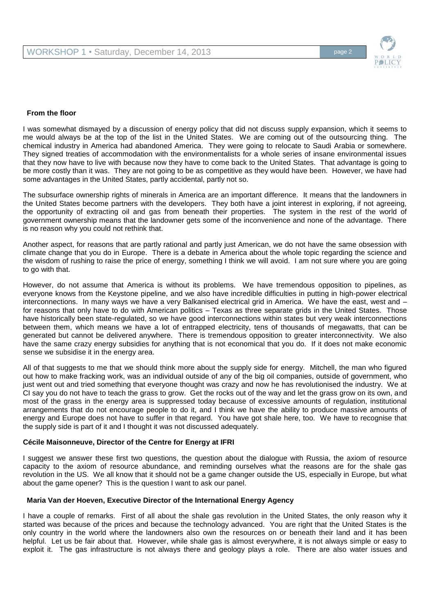

### **From the floor**

I was somewhat dismayed by a discussion of energy policy that did not discuss supply expansion, which it seems to me would always be at the top of the list in the United States. We are coming out of the outsourcing thing. The chemical industry in America had abandoned America. They were going to relocate to Saudi Arabia or somewhere. They signed treaties of accommodation with the environmentalists for a whole series of insane environmental issues that they now have to live with because now they have to come back to the United States. That advantage is going to be more costly than it was. They are not going to be as competitive as they would have been. However, we have had some advantages in the United States, partly accidental, partly not so.

The subsurface ownership rights of minerals in America are an important difference. It means that the landowners in the United States become partners with the developers. They both have a joint interest in exploring, if not agreeing, the opportunity of extracting oil and gas from beneath their properties. The system in the rest of the world of government ownership means that the landowner gets some of the inconvenience and none of the advantage. There is no reason why you could not rethink that.

Another aspect, for reasons that are partly rational and partly just American, we do not have the same obsession with climate change that you do in Europe. There is a debate in America about the whole topic regarding the science and the wisdom of rushing to raise the price of energy, something I think we will avoid. I am not sure where you are going to go with that.

However, do not assume that America is without its problems. We have tremendous opposition to pipelines, as everyone knows from the Keystone pipeline, and we also have incredible difficulties in putting in high-power electrical interconnections. In many ways we have a very Balkanised electrical grid in America. We have the east, west and – for reasons that only have to do with American politics – Texas as three separate grids in the United States. Those have historically been state-regulated, so we have good interconnections within states but very weak interconnections between them, which means we have a lot of entrapped electricity, tens of thousands of megawatts, that can be generated but cannot be delivered anywhere. There is tremendous opposition to greater interconnectivity. We also have the same crazy energy subsidies for anything that is not economical that you do. If it does not make economic sense we subsidise it in the energy area.

All of that suggests to me that we should think more about the supply side for energy. Mitchell, the man who figured out how to make fracking work, was an individual outside of any of the big oil companies, outside of government, who just went out and tried something that everyone thought was crazy and now he has revolutionised the industry. We at CI say you do not have to teach the grass to grow. Get the rocks out of the way and let the grass grow on its own, and most of the grass in the energy area is suppressed today because of excessive amounts of regulation, institutional arrangements that do not encourage people to do it, and I think we have the ability to produce massive amounts of energy and Europe does not have to suffer in that regard. You have got shale here, too. We have to recognise that the supply side is part of it and I thought it was not discussed adequately.

#### **Cécile Maisonneuve, Director of the Centre for Energy at IFRI**

I suggest we answer these first two questions, the question about the dialogue with Russia, the axiom of resource capacity to the axiom of resource abundance, and reminding ourselves what the reasons are for the shale gas revolution in the US. We all know that it should not be a game changer outside the US, especially in Europe, but what about the game opener? This is the question I want to ask our panel.

### **Maria Van der Hoeven, Executive Director of the International Energy Agency**

I have a couple of remarks. First of all about the shale gas revolution in the United States, the only reason why it started was because of the prices and because the technology advanced. You are right that the United States is the only country in the world where the landowners also own the resources on or beneath their land and it has been helpful. Let us be fair about that. However, while shale gas is almost everywhere, it is not always simple or easy to exploit it. The gas infrastructure is not always there and geology plays a role. There are also water issues and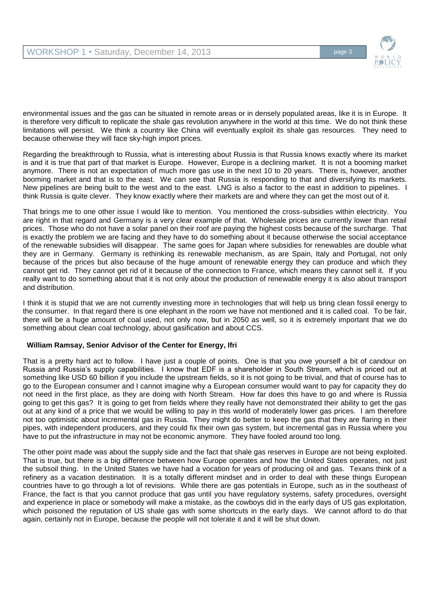

environmental issues and the gas can be situated in remote areas or in densely populated areas, like it is in Europe. It is therefore very difficult to replicate the shale gas revolution anywhere in the world at this time. We do not think these limitations will persist. We think a country like China will eventually exploit its shale gas resources. They need to because otherwise they will face sky-high import prices.

Regarding the breakthrough to Russia, what is interesting about Russia is that Russia knows exactly where its market is and it is true that part of that market is Europe. However, Europe is a declining market. It is not a booming market anymore. There is not an expectation of much more gas use in the next 10 to 20 years. There is, however, another booming market and that is to the east. We can see that Russia is responding to that and diversifying its markets. New pipelines are being built to the west and to the east. LNG is also a factor to the east in addition to pipelines. I think Russia is quite clever. They know exactly where their markets are and where they can get the most out of it.

That brings me to one other issue I would like to mention. You mentioned the cross-subsidies within electricity. You are right in that regard and Germany is a very clear example of that. Wholesale prices are currently lower than retail prices. Those who do not have a solar panel on their roof are paying the highest costs because of the surcharge. That is exactly the problem we are facing and they have to do something about it because otherwise the social acceptance of the renewable subsidies will disappear. The same goes for Japan where subsidies for renewables are double what they are in Germany. Germany is rethinking its renewable mechanism, as are Spain, Italy and Portugal, not only because of the prices but also because of the huge amount of renewable energy they can produce and which they cannot get rid. They cannot get rid of it because of the connection to France, which means they cannot sell it. If you really want to do something about that it is not only about the production of renewable energy it is also about transport and distribution.

I think it is stupid that we are not currently investing more in technologies that will help us bring clean fossil energy to the consumer. In that regard there is one elephant in the room we have not mentioned and it is called coal. To be fair, there will be a huge amount of coal used, not only now, but in 2050 as well, so it is extremely important that we do something about clean coal technology, about gasification and about CCS.

# **William Ramsay, Senior Advisor of the Center for Energy, Ifri**

That is a pretty hard act to follow. I have just a couple of points. One is that you owe yourself a bit of candour on Russia and Russia's supply capabilities. I know that EDF is a shareholder in South Stream, which is priced out at something like USD 60 billion if you include the upstream fields, so it is not going to be trivial, and that of course has to go to the European consumer and I cannot imagine why a European consumer would want to pay for capacity they do not need in the first place, as they are doing with North Stream. How far does this have to go and where is Russia going to get this gas? It is going to get from fields where they really have not demonstrated their ability to get the gas out at any kind of a price that we would be willing to pay in this world of moderately lower gas prices. I am therefore not too optimistic about incremental gas in Russia. They might do better to keep the gas that they are flaring in their pipes, with independent producers, and they could fix their own gas system, but incremental gas in Russia where you have to put the infrastructure in may not be economic anymore. They have fooled around too long.

The other point made was about the supply side and the fact that shale gas reserves in Europe are not being exploited. That is true, but there is a big difference between how Europe operates and how the United States operates, not just the subsoil thing. In the United States we have had a vocation for years of producing oil and gas. Texans think of a refinery as a vacation destination. It is a totally different mindset and in order to deal with these things European countries have to go through a lot of revisions. While there are gas potentials in Europe, such as in the southeast of France, the fact is that you cannot produce that gas until you have regulatory systems, safety procedures, oversight and experience in place or somebody will make a mistake, as the cowboys did in the early days of US gas exploitation, which poisoned the reputation of US shale gas with some shortcuts in the early days. We cannot afford to do that again, certainly not in Europe, because the people will not tolerate it and it will be shut down.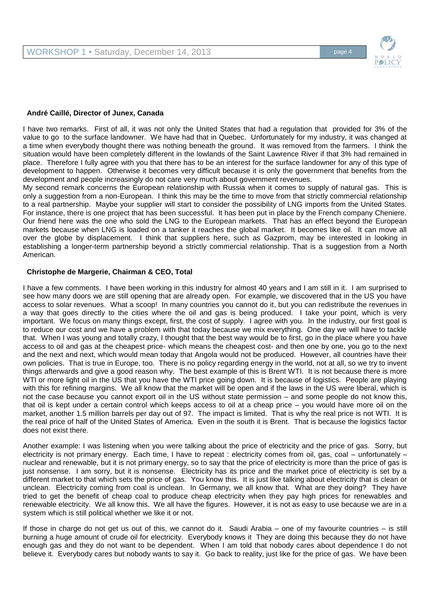

## **André Caillé, Director of Junex, Canada**

I have two remarks. First of all, it was not only the United States that had a regulation that provided for 3% of the value to go to the surface landowner. We have had that in Quebec. Unfortunately for my industry, it was changed at a time when everybody thought there was nothing beneath the ground. It was removed from the farmers. I think the situation would have been completely different in the lowlands of the Saint Lawrence River if that 3% had remained in place. Therefore I fully agree with you that there has to be an interest for the surface landowner for any of this type of development to happen. Otherwise it becomes very difficult because it is only the government that benefits from the development and people increasingly do not care very much about government revenues.

My second remark concerns the European relationship with Russia when it comes to supply of natural gas. This is only a suggestion from a non-European. I think this may be the time to move from that strictly commercial relationship to a real partnership. Maybe your supplier will start to consider the possibility of LNG imports from the United States. For instance, there is one project that has been successful. It has been put in place by the French company Cheniere. Our friend here was the one who sold the LNG to the European markets. That has an effect beyond the European markets because when LNG is loaded on a tanker it reaches the global market. It becomes like oil. It can move all over the globe by displacement. I think that suppliers here, such as Gazprom, may be interested in looking in establishing a longer-term partnership beyond a strictly commercial relationship. That is a suggestion from a North American.

### **Christophe de Margerie, Chairman & CEO, Total**

I have a few comments. I have been working in this industry for almost 40 years and I am still in it. I am surprised to see how many doors we are still opening that are already open. For example, we discovered that in the US you have access to solar revenues. What a scoop! In many countries you cannot do it, but you can redistribute the revenues in a way that goes directly to the cities where the oil and gas is being produced. I take your point, which is very important. We focus on many things except, first, the cost of supply. I agree with you. In the industry, our first goal is to reduce our cost and we have a problem with that today because we mix everything. One day we will have to tackle that. When I was young and totally crazy, I thought that the best way would be to first, go in the place where you have access to oil and gas at the cheapest price- which means the cheapest cost- and then one by one, you go to the next and the next and next, which would mean today that Angola would not be produced. However, all countries have their own policies. That is true in Europe, too. There is no policy regarding energy in the world, not at all, so we try to invent things afterwards and give a good reason why. The best example of this is Brent WTI. It is not because there is more WTI or more light oil in the US that you have the WTI price going down. It is because of logistics. People are playing with this for refining margins. We all know that the market will be open and if the laws in the US were liberal, which is not the case because you cannot export oil in the US without state permission – and some people do not know this, that oil is kept under a certain control which keeps access to oil at a cheap price – you would have more oil on the market, another 1.5 million barrels per day out of 97. The impact is limited. That is why the real price is not WTI. It is the real price of half of the United States of America. Even in the south it is Brent. That is because the logistics factor does not exist there.

Another example: I was listening when you were talking about the price of electricity and the price of gas. Sorry, but electricity is not primary energy. Each time, I have to repeat : electricity comes from oil, gas, coal – unfortunately – nuclear and renewable, but it is not primary energy, so to say that the price of electricity is more than the price of gas is just nonsense. I am sorry, but it is nonsense. Electricity has its price and the market price of electricity is set by a different market to that which sets the price of gas. You know this. It is just like talking about electricity that is clean or unclean. Electricity coming from coal is unclean. In Germany, we all know that. What are they doing? They have tried to get the benefit of cheap coal to produce cheap electricity when they pay high prices for renewables and renewable electricity. We all know this. We all have the figures. However, it is not as easy to use because we are in a system which is still political whether we like it or not.

If those in charge do not get us out of this, we cannot do it. Saudi Arabia – one of my favourite countries – is still burning a huge amount of crude oil for electricity. Everybody knows it They are doing this because they do not have enough gas and they do not want to be dependent. When I am told that nobody cares about dependence I do not believe it. Everybody cares but nobody wants to say it. Go back to reality, just like for the price of gas. We have been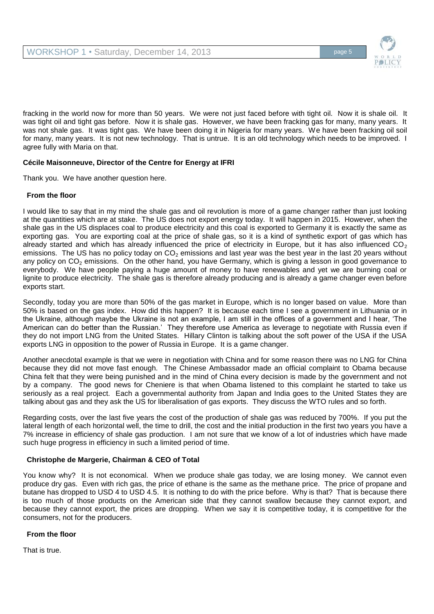

fracking in the world now for more than 50 years. We were not just faced before with tight oil. Now it is shale oil. It was tight oil and tight gas before. Now it is shale gas. However, we have been fracking gas for many, many years. It was not shale gas. It was tight gas. We have been doing it in Nigeria for many years. We have been fracking oil soil for many, many years. It is not new technology. That is untrue. It is an old technology which needs to be improved. I agree fully with Maria on that.

# **Cécile Maisonneuve, Director of the Centre for Energy at IFRI**

Thank you. We have another question here.

## **From the floor**

I would like to say that in my mind the shale gas and oil revolution is more of a game changer rather than just looking at the quantities which are at stake. The US does not export energy today. It will happen in 2015. However, when the shale gas in the US displaces coal to produce electricity and this coal is exported to Germany it is exactly the same as exporting gas. You are exporting coal at the price of shale gas, so it is a kind of synthetic export of gas which has already started and which has already influenced the price of electricity in Europe, but it has also influenced  $CO<sub>2</sub>$ emissions. The US has no policy today on  $CO<sub>2</sub>$  emissions and last year was the best year in the last 20 years without any policy on  $CO<sub>2</sub>$  emissions. On the other hand, you have Germany, which is giving a lesson in good governance to everybody. We have people paying a huge amount of money to have renewables and yet we are burning coal or lignite to produce electricity. The shale gas is therefore already producing and is already a game changer even before exports start.

Secondly, today you are more than 50% of the gas market in Europe, which is no longer based on value. More than 50% is based on the gas index. How did this happen? It is because each time I see a government in Lithuania or in the Ukraine, although maybe the Ukraine is not an example, I am still in the offices of a government and I hear, 'The American can do better than the Russian.' They therefore use America as leverage to negotiate with Russia even if they do not import LNG from the United States. Hillary Clinton is talking about the soft power of the USA if the USA exports LNG in opposition to the power of Russia in Europe. It is a game changer.

Another anecdotal example is that we were in negotiation with China and for some reason there was no LNG for China because they did not move fast enough. The Chinese Ambassador made an official complaint to Obama because China felt that they were being punished and in the mind of China every decision is made by the government and not by a company. The good news for Cheniere is that when Obama listened to this complaint he started to take us seriously as a real project. Each a governmental authority from Japan and India goes to the United States they are talking about gas and they ask the US for liberalisation of gas exports. They discuss the WTO rules and so forth.

Regarding costs, over the last five years the cost of the production of shale gas was reduced by 700%. If you put the lateral length of each horizontal well, the time to drill, the cost and the initial production in the first two years you have a 7% increase in efficiency of shale gas production. I am not sure that we know of a lot of industries which have made such huge progress in efficiency in such a limited period of time.

# **Christophe de Margerie, Chairman & CEO of Total**

You know why? It is not economical. When we produce shale gas today, we are losing money. We cannot even produce dry gas. Even with rich gas, the price of ethane is the same as the methane price. The price of propane and butane has dropped to USD 4 to USD 4.5. It is nothing to do with the price before. Why is that? That is because there is too much of those products on the American side that they cannot swallow because they cannot export, and because they cannot export, the prices are dropping. When we say it is competitive today, it is competitive for the consumers, not for the producers.

## **From the floor**

That is true.